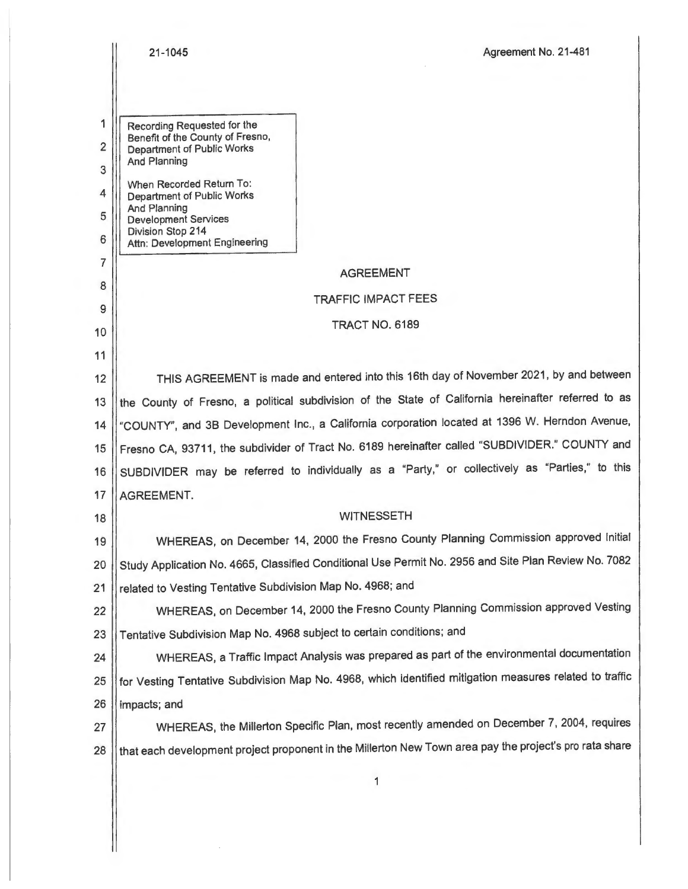|                          | 21-1045<br>Agreement No. 21-481                                                                                             |  |  |  |  |
|--------------------------|-----------------------------------------------------------------------------------------------------------------------------|--|--|--|--|
|                          |                                                                                                                             |  |  |  |  |
| 1<br>$\overline{2}$<br>3 | Recording Requested for the<br>Benefit of the County of Fresno,<br><b>Department of Public Works</b><br><b>And Planning</b> |  |  |  |  |
| 4<br>5                   | When Recorded Return To:<br>Department of Public Works<br>And Planning<br><b>Development Services</b>                       |  |  |  |  |
| 6                        | Division Stop 214<br>Attn: Development Engineering                                                                          |  |  |  |  |
| $\overline{7}$           | <b>AGREEMENT</b>                                                                                                            |  |  |  |  |
| 8                        | <b>TRAFFIC IMPACT FEES</b>                                                                                                  |  |  |  |  |
| 9<br>10                  | TRACT NO. 6189                                                                                                              |  |  |  |  |
| 11                       |                                                                                                                             |  |  |  |  |
| 12                       | THIS AGREEMENT is made and entered into this 16th day of November 2021, by and between                                      |  |  |  |  |
| 13                       | the County of Fresno, a political subdivision of the State of California hereinafter referred to as                         |  |  |  |  |
| 14                       | "COUNTY", and 3B Development Inc., a California corporation located at 1396 W. Herndon Avenue,                              |  |  |  |  |
| 15                       | Fresno CA, 93711, the subdivider of Tract No. 6189 hereinafter called "SUBDIVIDER." COUNTY and                              |  |  |  |  |
| 16                       | SUBDIVIDER may be referred to individually as a "Party," or collectively as "Parties," to this                              |  |  |  |  |
| 17                       | AGREEMENT.                                                                                                                  |  |  |  |  |
| 18                       | <b>WITNESSETH</b>                                                                                                           |  |  |  |  |
| 19                       | WHEREAS, on December 14, 2000 the Fresno County Planning Commission approved Initial                                        |  |  |  |  |
| 20                       | Study Application No. 4665, Classified Conditional Use Permit No. 2956 and Site Plan Review No. 7082                        |  |  |  |  |
| 21                       | related to Vesting Tentative Subdivision Map No. 4968; and                                                                  |  |  |  |  |
| 22                       | WHEREAS, on December 14, 2000 the Fresno County Planning Commission approved Vesting                                        |  |  |  |  |
| 23                       | Tentative Subdivision Map No. 4968 subject to certain conditions; and                                                       |  |  |  |  |
| 24                       | WHEREAS, a Traffic Impact Analysis was prepared as part of the environmental documentation                                  |  |  |  |  |
| 25                       | for Vesting Tentative Subdivision Map No. 4968, which identified mitigation measures related to traffic                     |  |  |  |  |
| 26                       | impacts; and                                                                                                                |  |  |  |  |
| 27                       | WHEREAS, the Millerton Specific Plan, most recently amended on December 7, 2004, requires                                   |  |  |  |  |
| 28                       | that each development project proponent in the Millerton New Town area pay the project's pro rata share                     |  |  |  |  |
|                          | 1                                                                                                                           |  |  |  |  |

 $\begin{array}{c} \hline \end{array}$ 

 $\label{eq:2.1} \frac{1}{\sqrt{2\pi}}\int_{0}^{\infty}\frac{1}{\sqrt{2\pi}}\left(\frac{1}{\sqrt{2\pi}}\right)^{2\alpha} \frac{1}{\sqrt{2\pi}}\int_{0}^{\infty}\frac{1}{\sqrt{2\pi}}\left(\frac{1}{\sqrt{2\pi}}\right)^{\alpha} \frac{1}{\sqrt{2\pi}}\frac{1}{\sqrt{2\pi}}\int_{0}^{\infty}\frac{1}{\sqrt{2\pi}}\frac{1}{\sqrt{2\pi}}\frac{1}{\sqrt{2\pi}}\frac{1}{\sqrt{2\pi}}\frac{1}{\sqrt{2\pi}}\frac{1}{\sqrt{2\$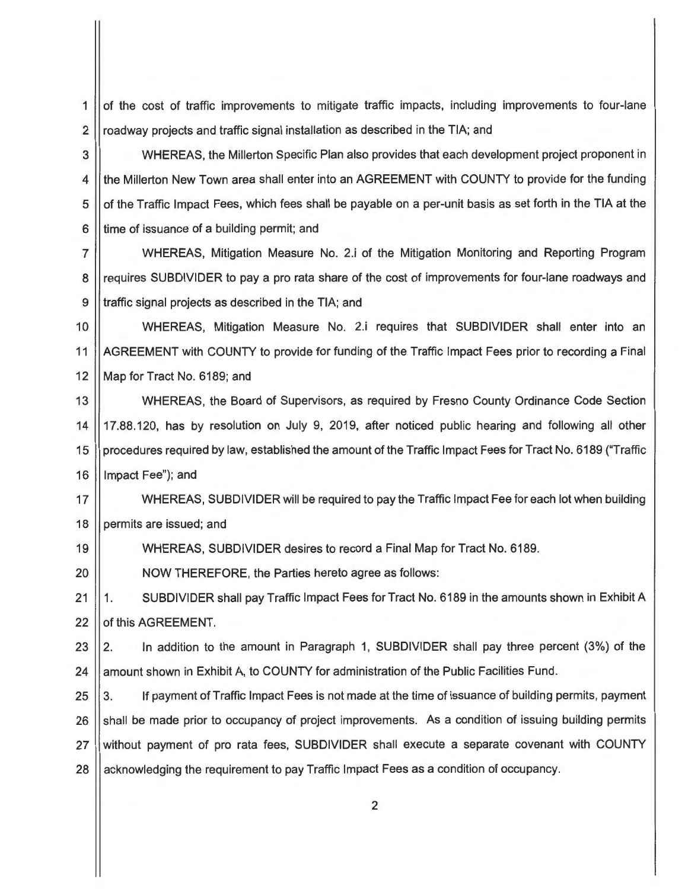$1$  of the cost of traffic improvements to mitigate traffic impacts, including improvements to four-lane 2  $\parallel$  roadway projects and traffic signal installation as described in the TIA; and

3 WHEREAS, the Millerton Specific Plan also provides that each development project proponent in 4 If the Millerton New Town area shall enter into an AGREEMENT with COUNTY to provide for the funding  $5 \parallel$  of the Traffic Impact Fees, which fees shall be payable on a per-unit basis as set forth in the TIA at the 6 I time of issuance of a building permit; and

7 WHEREAS, Mitigation Measure No. 2.i of the Mitigation Monitoring and Reporting Program 8 || requires SUBDIVIDER to pay a pro rata share of the cost of improvements for four-lane roadways and 9 || traffic signal projects as described in the TIA; and

10 | WHEREAS, Mitigation Measure No. 2.i requires that SUBDIVIDER shall enter into an 11 | AGREEMENT with COUNTY to provide for funding of the Traffic Impact Fees prior to recording a Final 12 || Map for Tract No. 6189; and

13 WHEREAS, the Board of Supervisors, as required by Fresno County Ordinance Code Section 14 17.88.120, has by resolution on July 9, 2019, after noticed public hearing and following all other 15 procedures required by law, established the amount of the Traffic Impact Fees for Tract No. 6189 ("Traffic 16 || Impact Fee"); and

17 WHEREAS, SUBDIVIDER will be required to pay the Traffic Impact Fee for each lot when building 18 | permits are issued; and

19 WHEREAS, SUBDIVIDER desires to record a Final Map for Tract No. 6189.

20 | NOW THEREFORE, the Parties hereto agree as follows:

21 | 1. SUBDIVIDER shall pay Traffic Impact Fees for Tract No. 6189 in the amounts shown in Exhibit A 22  $\parallel$  of this AGREEMENT.

23 | 2. In addition to the amount in Paragraph 1, SUBDIVIDER shall pay three percent (3%) of the 24 | amount shown in Exhibit A, to COUNTY for administration of the Public Facilities Fund.

25 | 3. If payment of Traffic Impact Fees is not made at the time of issuance of building permits, payment 26 Shall be made prior to occupancy of project improvements. As a condition of issuing building permits 27 Without payment of pro rata fees, SUBDIVIDER shall execute a separate covenant with COUNTY 28 | acknowledging the requirement to pay Traffic Impact Fees as a condition of occupancy.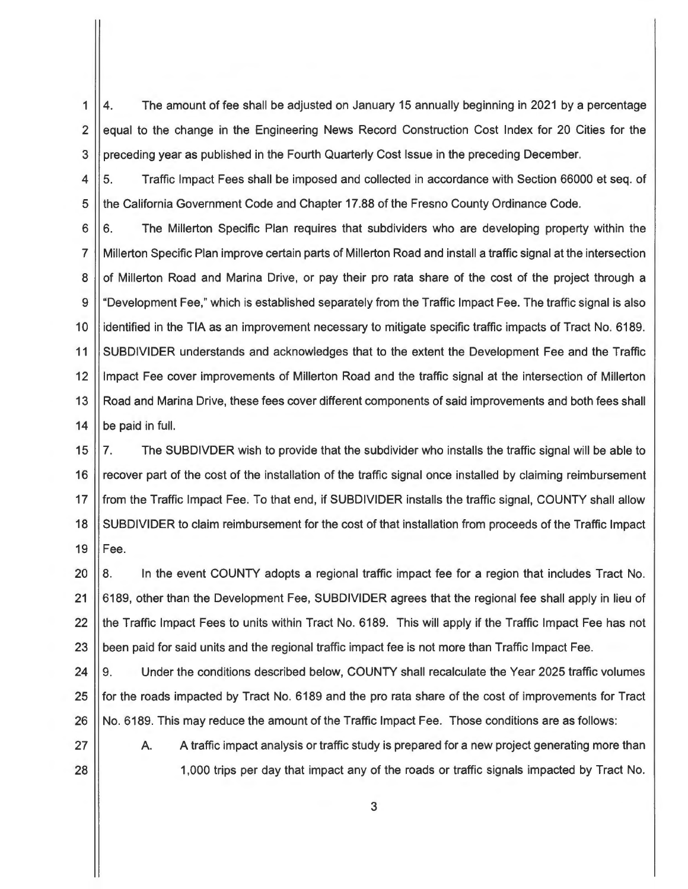1 2 3 4. The amount of fee shall be adjusted on January 15 annually beginning in 2021 by a percentage equal to the change in the Engineering News Record Construction Cost Index for 20 Cities for the preceding year as published in the Fourth Quarterly Cost Issue in the preceding December.

4 5 5. Traffic Impact Fees shall be imposed and collected in accordance with Section 66000 et seq. of the California Government Code and Chapter 17.88 of the Fresno County Ordinance Code.

6 7 8 9 10 11 12 13 14 6. The Millerton Specific Plan requires that subdividers who are developing property within the Millerton Specific Plan improve certain parts of Millerton Road and install a traffic signal at the intersection of Millerton Road and Marina Drive, or pay their pro rata share of the cost of the project through a "Development Fee," which is established separately from the Traffic Impact Fee. The traffic signal is also identified in the TIA as an improvement necessary to mitigate specific traffic impacts of Tract No. 6189. SUBDIVIDER understands and acknowledges that to the extent the Development Fee and the Traffic Impact Fee cover improvements of Millerton Road and the traffic signal at the intersection of Millerton Road and Marina Drive, these fees cover different components of said improvements and both fees shall be paid in full.

15 16 17 18 19 7. The SUBDIVDER wish to provide that the subdivider who installs the traffic signal will be able to recover part of the cost of the installation of the traffic signal once installed by claiming reimbursement from the Traffic Impact Fee. To that end, if SUBDIVIDER installs the traffic signal, COUNTY shall allow SUBDIVIDER to claim reimbursement for the cost of that installation from proceeds of the Traffic Impact Fee.

20 21 22 23 8. In the event COUNTY adopts a regional traffic impact fee for a region that includes Tract No. 6189, other than the Development Fee, SUBDIVIDER agrees that the regional fee shall apply in lieu of the Traffic Impact Fees to units within Tract No. 6189. This will apply if the Traffic Impact Fee has not been paid for said units and the regional traffic impact fee is not more than Traffic Impact Fee.

24 25 26 9. Under the conditions described below, COUNTY shall recalculate the Year 2025 traffic volumes for the roads impacted by Tract No. 6189 and the pro rata share of the cost of improvements for Tract No. 6189. This may reduce the amount of the Traffic Impact Fee. Those conditions are as follows:

27 28 A. A traffic impact analysis or traffic study is prepared for a new project generating more than 1,000 trips per day that impact any of the roads or traffic signals impacted by Tract No.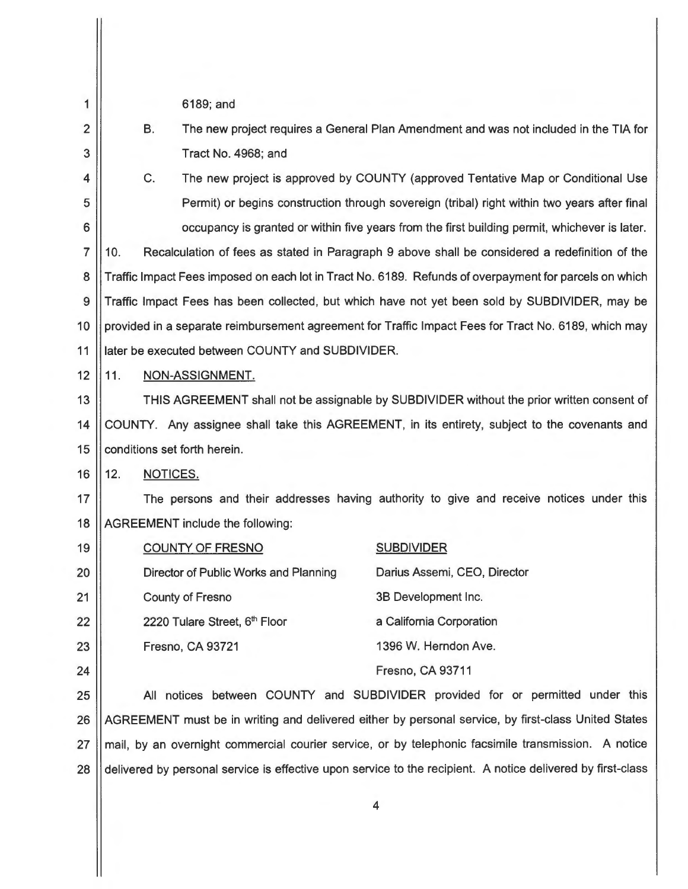| 1              |     |                                                                                                        | 6189; and                                                                             |                                                                                                             |  |
|----------------|-----|--------------------------------------------------------------------------------------------------------|---------------------------------------------------------------------------------------|-------------------------------------------------------------------------------------------------------------|--|
| $\overline{2}$ |     | В.                                                                                                     | The new project requires a General Plan Amendment and was not included in the TIA for |                                                                                                             |  |
| 3              |     |                                                                                                        | Tract No. 4968; and                                                                   |                                                                                                             |  |
| 4              |     | C.                                                                                                     | The new project is approved by COUNTY (approved Tentative Map or Conditional Use      |                                                                                                             |  |
| 5              |     |                                                                                                        |                                                                                       | Permit) or begins construction through sovereign (tribal) right within two years after final                |  |
| 6              |     | occupancy is granted or within five years from the first building permit, whichever is later.          |                                                                                       |                                                                                                             |  |
| $\overline{7}$ | 10. |                                                                                                        |                                                                                       | Recalculation of fees as stated in Paragraph 9 above shall be considered a redefinition of the              |  |
| 8              |     | Traffic Impact Fees imposed on each lot in Tract No. 6189. Refunds of overpayment for parcels on which |                                                                                       |                                                                                                             |  |
| 9              |     | Traffic Impact Fees has been collected, but which have not yet been sold by SUBDIVIDER, may be         |                                                                                       |                                                                                                             |  |
| 10             |     | provided in a separate reimbursement agreement for Traffic Impact Fees for Tract No. 6189, which may   |                                                                                       |                                                                                                             |  |
| 11             |     | later be executed between COUNTY and SUBDIVIDER.                                                       |                                                                                       |                                                                                                             |  |
| 12             | 11. | NON-ASSIGNMENT.                                                                                        |                                                                                       |                                                                                                             |  |
| 13             |     | THIS AGREEMENT shall not be assignable by SUBDIVIDER without the prior written consent of              |                                                                                       |                                                                                                             |  |
| 14             |     | COUNTY. Any assignee shall take this AGREEMENT, in its entirety, subject to the covenants and          |                                                                                       |                                                                                                             |  |
| 15             |     | conditions set forth herein.                                                                           |                                                                                       |                                                                                                             |  |
| 16             | 12. | NOTICES.                                                                                               |                                                                                       |                                                                                                             |  |
| 17             |     | The persons and their addresses having authority to give and receive notices under this                |                                                                                       |                                                                                                             |  |
| 18             |     |                                                                                                        | <b>AGREEMENT</b> include the following:                                               |                                                                                                             |  |
| 19             |     |                                                                                                        | <b>COUNTY OF FRESNO</b>                                                               | <b>SUBDIVIDER</b>                                                                                           |  |
| 20             |     |                                                                                                        | Director of Public Works and Planning                                                 | Darius Assemi, CEO, Director                                                                                |  |
| 21             |     |                                                                                                        | <b>County of Fresno</b>                                                               | 3B Development Inc.                                                                                         |  |
| 22             |     |                                                                                                        | 2220 Tulare Street, 6th Floor                                                         | a California Corporation                                                                                    |  |
| 23             |     |                                                                                                        | Fresno, CA 93721                                                                      | 1396 W. Herndon Ave.                                                                                        |  |
| 24             |     |                                                                                                        |                                                                                       | Fresno, CA 93711                                                                                            |  |
| 25             |     | All notices between COUNTY and SUBDIVIDER provided for or permitted under this                         |                                                                                       |                                                                                                             |  |
| 26             |     | AGREEMENT must be in writing and delivered either by personal service, by first-class United States    |                                                                                       |                                                                                                             |  |
| 27             |     |                                                                                                        |                                                                                       | mail, by an overnight commercial courier service, or by telephonic facsimile transmission. A notice         |  |
| 28             |     |                                                                                                        |                                                                                       | delivered by personal service is effective upon service to the recipient. A notice delivered by first-class |  |
|                |     |                                                                                                        |                                                                                       | 4                                                                                                           |  |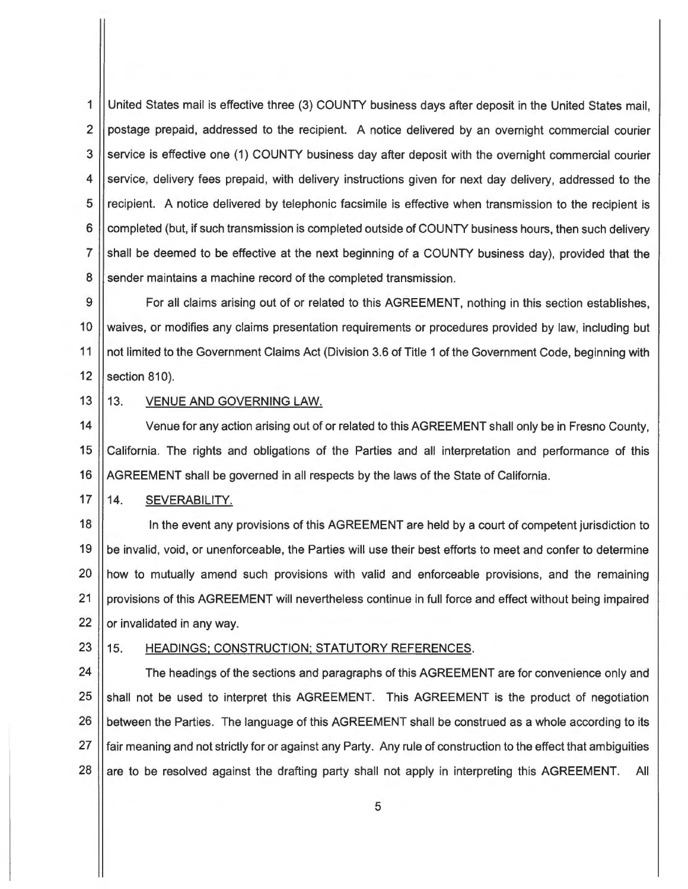1 United States mail is effective three (3) COUNTY business days after deposit in the United States mail, 2 | postage prepaid, addressed to the recipient. A notice delivered by an overnight commercial courier 3 Service is effective one (1) COUNTY business day after deposit with the overnight commercial courier 4 Service, delivery fees prepaid, with delivery instructions given for next day delivery, addressed to the 5 || recipient. A notice delivered by telephonic facsimile is effective when transmission to the recipient is 6 | completed (but, if such transmission is completed outside of COUNTY business hours, then such delivery 7 | shall be deemed to be effective at the next beginning of a COUNTY business day), provided that the 8 Sender maintains a machine record of the completed transmission.

9 | For all claims arising out of or related to this AGREEMENT, nothing in this section establishes, 10 | waives, or modifies any claims presentation requirements or procedures provided by law, including but 11 | not limited to the Government Claims Act (Division 3.6 of Title 1 of the Government Code, beginning with  $12$  | section 810).

## 13 || 13. VENUE AND GOVERNING LAW.

14 | Venue for any action arising out of or related to this AGREEMENT shall only be in Fresno County, 15 California. The rights and obligations of the Parties and all interpretation and performance of this 16 AGREEMENT shall be governed in all respects by the laws of the State of California.

## 17 || 14. SEVERABILITY.

18 || In the event any provisions of this AGREEMENT are held by a court of competent jurisdiction to 19 || be invalid, void, or unenforceable, the Parties will use their best efforts to meet and confer to determine 20 || how to mutually amend such provisions with valid and enforceable provisions, and the remaining 21 | provisions of this AGREEMENT will nevertheless continue in full force and effect without being impaired 22  $\parallel$  or invalidated in any way.

## 23 || 15. HEADINGS; CONSTRUCTION; STATUTORY REFERENCES.

24 | The headings of the sections and paragraphs of this AGREEMENT are for convenience only and 25 Shall not be used to interpret this AGREEMENT. This AGREEMENT is the product of negotiation 26 | between the Parties. The language of this AGREEMENT shall be construed as a whole according to its 27 fair meaning and not strictly for or against any Party. Any rule of construction to the effect that ambiguities  $28$  | are to be resolved against the drafting party shall not apply in interpreting this AGREEMENT. All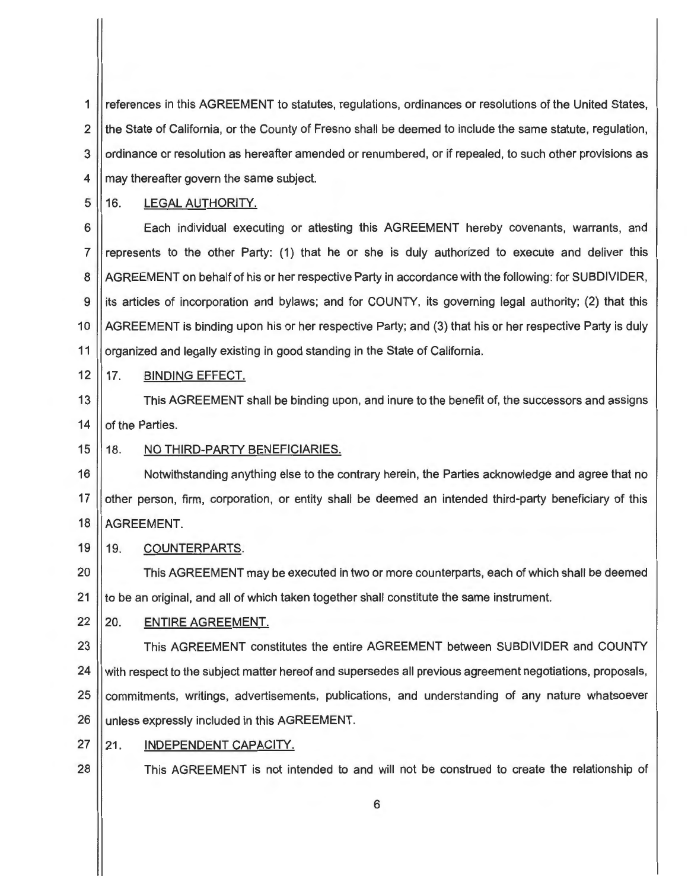1 references in this AGREEMENT to statutes, regulations, ordinances or resolutions of the United States, 2 || the State of California, or the County of Fresno shall be deemed to include the same statute, regulation, 3 || ordinance or resolution as hereafter amended or renumbered, or if repealed, to such other provisions as 4 || may thereafter govern the same subject.

5 || 16. LEGAL AUTHORITY.

6 **Each individual executing or attesting this AGREEMENT hereby covenants, warrants, and** 7 represents to the other Party: (1) that he or she is duly authorized to execute and deliver this 8 | AGREEMENT on behalf of his or her respective Party in accordance with the following: for SUBDIVIDER, 9 its articles of incorporation and bylaws; and for COUNTY, its governing legal authority; (2) that this 10 AGREEMENT is binding upon his or her respective Party; and (3) that his or her respective Party is duly 11 | organized and legally existing in good standing in the State of California.

12 17. **BINDING** EFFECT.

13  $\vert$  This AGREEMENT shall be binding upon, and inure to the benefit of, the successors and assigns 14 | of the Parties.

## 15 || 18. NO THIRD-PARTY BENEFICIARIES.

16 | Notwithstanding anything else to the contrary herein, the Parties acknowledge and agree that no 17 || other person, firm, corporation, or entity shall be deemed an intended third-party beneficiary of this 18 | AGREEMENT.

19 || 19. COUNTERPARTS.

20 **This AGREEMENT** may be executed in two or more counterparts, each of which shall be deemed  $21$  to be an original, and all of which taken together shall constitute the same instrument.

22 20. ENTIRE AGREEMENT.

23 **This AGREEMENT** constitutes the entire AGREEMENT between SUBDIVIDER and COUNTY 24 With respect to the subject matter hereof and supersedes all previous agreement negotiations, proposals, 25 commitments, writings, advertisements, publications, and understanding of any nature whatsoever 26 | unless expressly included in this AGREEMENT.

27 21. INDEPENDENT CAPACITY.

28 **This AGREEMENT** is not intended to and will not be construed to create the relationship of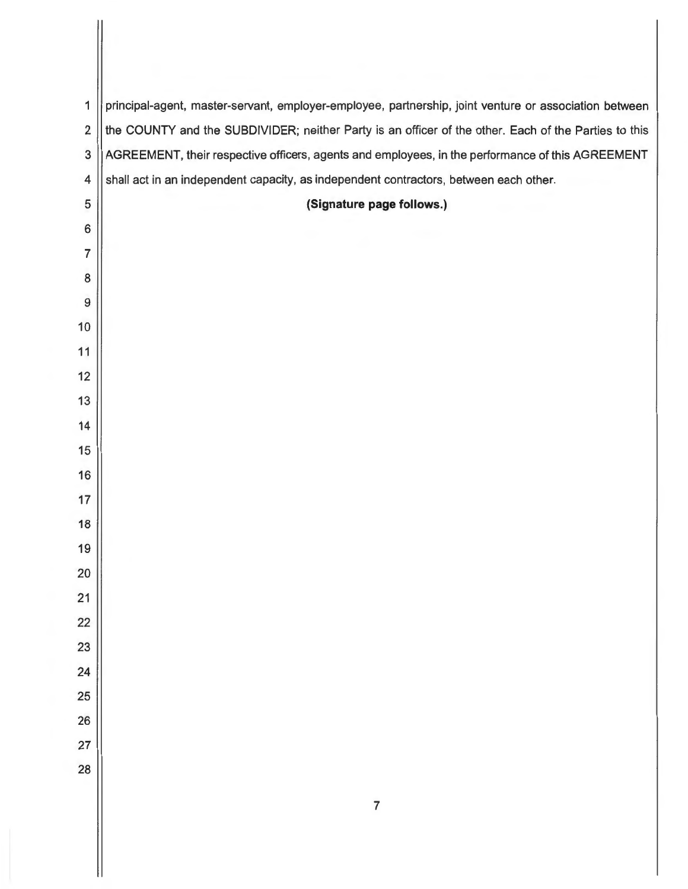| 1                       | principal-agent, master-servant, employer-employee, partnership, joint venture or association between |  |  |  |  |
|-------------------------|-------------------------------------------------------------------------------------------------------|--|--|--|--|
| 2                       | the COUNTY and the SUBDIVIDER; neither Party is an officer of the other. Each of the Parties to this  |  |  |  |  |
| 3                       | AGREEMENT, their respective officers, agents and employees, in the performance of this AGREEMENT      |  |  |  |  |
| $\overline{\mathbf{4}}$ | shall act in an independent capacity, as independent contractors, between each other.                 |  |  |  |  |
| 5                       | (Signature page follows.)                                                                             |  |  |  |  |
| 6                       |                                                                                                       |  |  |  |  |
| 7                       |                                                                                                       |  |  |  |  |
| 8                       |                                                                                                       |  |  |  |  |
| 9                       |                                                                                                       |  |  |  |  |
| 10                      |                                                                                                       |  |  |  |  |
| 11                      |                                                                                                       |  |  |  |  |
| 12                      |                                                                                                       |  |  |  |  |
| 13                      |                                                                                                       |  |  |  |  |
| 14                      |                                                                                                       |  |  |  |  |
| 15<br>16                |                                                                                                       |  |  |  |  |
| 17                      |                                                                                                       |  |  |  |  |
| 18                      |                                                                                                       |  |  |  |  |
| 19                      |                                                                                                       |  |  |  |  |
| 20                      |                                                                                                       |  |  |  |  |
| 21                      |                                                                                                       |  |  |  |  |
| 22                      |                                                                                                       |  |  |  |  |
| 23                      |                                                                                                       |  |  |  |  |
| 24                      |                                                                                                       |  |  |  |  |
| 25                      |                                                                                                       |  |  |  |  |
| 26                      |                                                                                                       |  |  |  |  |
| 27                      |                                                                                                       |  |  |  |  |
| 28                      |                                                                                                       |  |  |  |  |
|                         | $\overline{7}$                                                                                        |  |  |  |  |
|                         |                                                                                                       |  |  |  |  |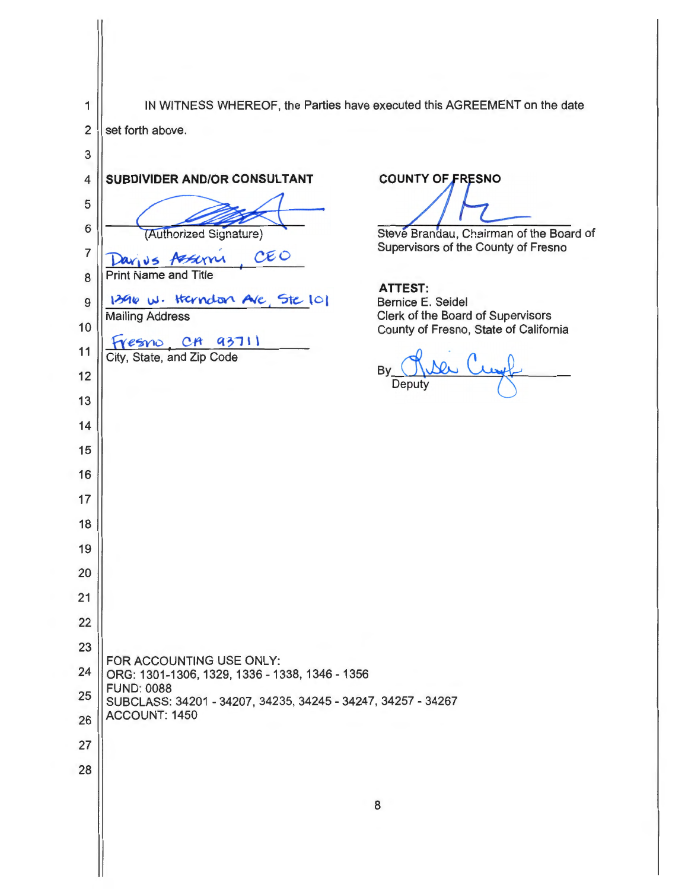1 || IN WITNESS WHEREOF, the Parties have executed this AGREEMENT on the date  $2$  set forth above. 3 **4 SUBDIVIDER AND/OR CONSULTANT** 5 Set forth above.<br>
4<br>
SUBDIVIDER AND/OR CONSULTANT<br>
5<br>
6<br>
Tavy v s Asseming CEO 7 Davius Assemi  $CEO$ 8 ~ Print Name and Title (Authorized Signature) 9 **1396 W. Handon AVE, Ste 101** 10 11 12 13 14 15 16 17 18 19 20 21 22 23 Mailing Address Fresno, CA 93711 FOR ACCOUNTING USE ONLY:  $\frac{24}{\text{C}}$  ORG: 1301-1306, 1329, 1336 - 1338, 1346 - 1356 Steve Brandau, Chairman of the Board of Supervisors of the County of Fresno **ATTEST:**  Bernice E. Seidel Clerk of the Board of Supervisors County of Fresno, State of California By <u>Rue</u> Cu Deput<sub>)</sub> FUND: 0088 25 SUBCLASS: 34201 - 34207, 34235, 34245 - 34247, 34257 - <sup>34267</sup> 26 ACCOUNT: 1450 27 28 8